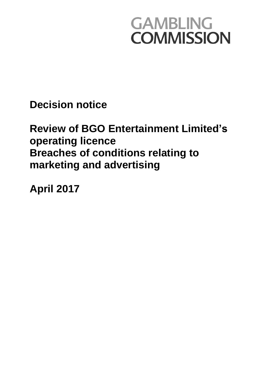# **GAMBLING COMMISSION**

**Decision notice**

# **Review of BGO Entertainment Limited's operating licence Breaches of conditions relating to marketing and advertising**

**April 2017**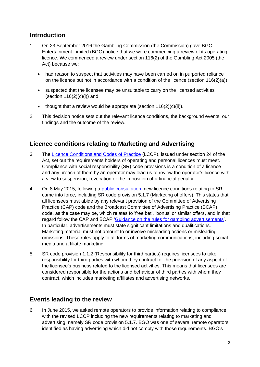#### **Introduction**

- 1. On 23 September 2016 the Gambling Commission (the Commission) gave BGO Entertainment Limited (BGO) notice that we were commencing a review of its operating licence. We commenced a review under section 116(2) of the Gambling Act 2005 (the Act) because we:
	- had reason to suspect that activities may have been carried on in purported reliance on the licence but not in accordance with a condition of the licence (section 116(2)(a))
	- suspected that the licensee may be unsuitable to carry on the licensed activities (section  $116(2)(c)(i)$ ) and
	- $\bullet$  thought that a review would be appropriate (section 116(2)(c)(ii)).
- 2. This decision notice sets out the relevant licence conditions, the background events, our findings and the outcome of the review.

### **Licence conditions relating to Marketing and Advertising**

- 3. The [Licence Conditions and Codes of Practice](http://live-gamblecom.cloud.contensis.com/PDF/LCCP/Licence-conditions-and-codes-of-practice.pdf) (LCCP), issued under section 24 of the Act, set out the requirements holders of operating and personal licences must meet. Compliance with social responsibility (SR) code provisions is a condition of a licence and any breach of them by an operator may lead us to review the operator's licence with a view to suspension, revocation or the imposition of a financial penalty.
- 4. On 8 May 2015, following a [public consultation,](http://www.gamblingcommission.gov.uk/PDF/consultations/Strengthening-social-responsibility-LCCP-responses.pdf) new licence conditions relating to SR came into force, including SR code provision 5.1.7 (Marketing of offers). This states that all licensees must abide by any relevant provision of the Committee of Advertising Practice (CAP) code and the Broadcast Committee of Advertising Practice (BCAP) code, as the case may be, which relates to 'free bet', 'bonus' or similar offers, and in that regard follow the CAP and BCAP ['Guidance on the rules for gambling advertisements'](https://www.asa.org.uk/resource/gambling.html). In particular, advertisements must state significant limitations and qualifications. Marketing material must not amount to or involve misleading actions or misleading omissions. These rules apply to all forms of marketing communications, including social media and affiliate marketing.
- 5. SR code provision 1.1.2 (Responsibility for third parties) requires licensees to take responsibility for third parties with whom they contract for the provision of any aspect of the licensee's business related to the licensed activities. This means that licensees are considered responsible for the actions and behaviour of third parties with whom they contract, which includes marketing affiliates and advertising networks.

## **Events leading to the review**

6. In June 2015, we asked remote operators to provide information relating to compliance with the revised LCCP including the new requirements relating to marketing and advertising, namely SR code provision 5.1.7. BGO was one of several remote operators identified as having advertising which did not comply with those requirements. BGO's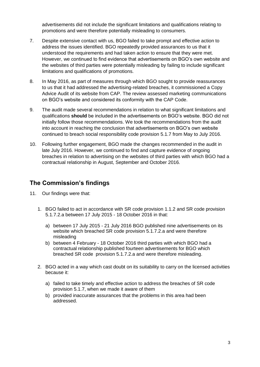advertisements did not include the significant limitations and qualifications relating to promotions and were therefore potentially misleading to consumers.

- 7. Despite extensive contact with us, BGO failed to take prompt and effective action to address the issues identified. BGO repeatedly provided assurances to us that it understood the requirements and had taken action to ensure that they were met. However, we continued to find evidence that advertisements on BGO's own website and the websites of third parties were potentially misleading by failing to include significant limitations and qualifications of promotions.
- 8. In May 2016, as part of measures through which BGO sought to provide reassurances to us that it had addressed the advertising-related breaches, it commissioned a Copy Advice Audit of its website from CAP. The review assessed marketing communications on BGO's website and considered its conformity with the CAP Code.
- 9. The audit made several recommendations in relation to what significant limitations and qualifications **should** be included in the advertisements on BGO's website. BGO did not initially follow those recommendations. We took the recommendations from the audit into account in reaching the conclusion that advertisements on BGO's own website continued to breach social responsibility code provision 5.1.7 from May to July 2016.
- 10. Following further engagement, BGO made the changes recommended in the audit in late July 2016. However, we continued to find and capture evidence of ongoing breaches in relation to advertising on the websites of third parties with which BGO had a contractual relationship in August, September and October 2016.

#### **The Commission's findings**

- 11. Our findings were that:
	- 1. BGO failed to act in accordance with SR code provision 1.1.2 and SR code provision 5.1.7.2.a between 17 July 2015 - 18 October 2016 in that:
		- a) between 17 July 2015 21 July 2016 BGO published nine advertisements on its website which breached SR code provision 5.1.7.2.a and were therefore misleading
		- b) between 4 February 18 October 2016 third parties with which BGO had a contractual relationship published fourteen advertisements for BGO which breached SR code provision 5.1.7.2.a and were therefore misleading.
	- 2. BGO acted in a way which cast doubt on its suitability to carry on the licensed activities because it:
		- a) failed to take timely and effective action to address the breaches of SR code provision 5.1.7, when we made it aware of them
		- b) provided inaccurate assurances that the problems in this area had been addressed.